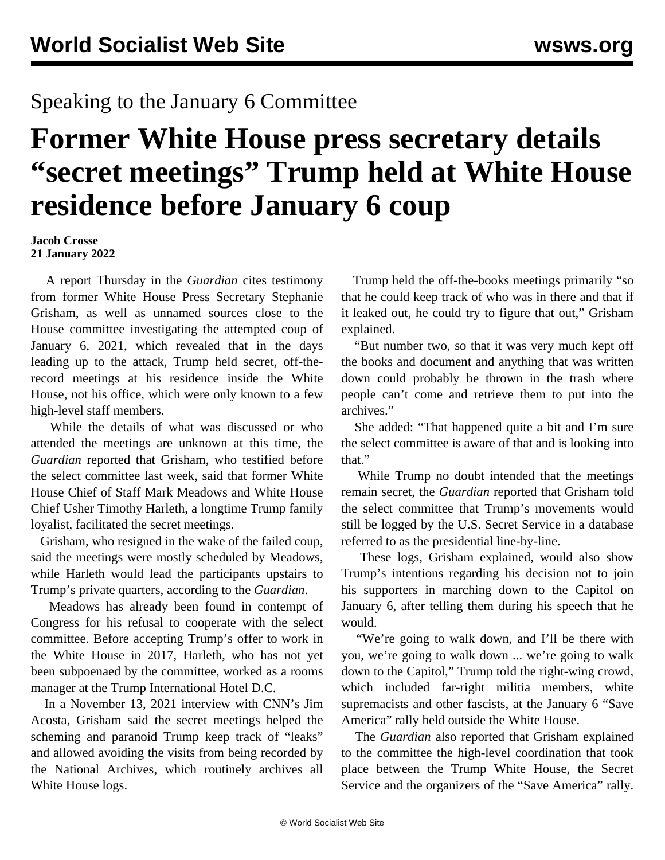## Speaking to the January 6 Committee

## **Former White House press secretary details "secret meetings" Trump held at White House residence before January 6 coup**

**Jacob Crosse 21 January 2022**

 A report Thursday in the *Guardian* cites testimony from former White House Press Secretary Stephanie Grisham, as well as unnamed sources close to the House committee investigating the attempted coup of January 6, 2021, which revealed that in the days leading up to the attack, Trump held secret, off-therecord meetings at his residence inside the White House, not his office, which were only known to a few high-level staff members.

 While the details of what was discussed or who attended the meetings are unknown at this time, the *Guardian* reported that Grisham, who testified before the select committee last week, said that former White House Chief of Staff Mark Meadows and White House Chief Usher Timothy Harleth, a longtime Trump family loyalist, facilitated the secret meetings.

 Grisham, who resigned in the wake of the failed coup, said the meetings were mostly scheduled by Meadows, while Harleth would lead the participants upstairs to Trump's private quarters, according to the *Guardian*.

 Meadows has already been found in contempt of Congress for his refusal to cooperate with the select committee. Before accepting Trump's offer to work in the White House in 2017, Harleth, who has not yet been subpoenaed by the committee, worked as a rooms manager at the Trump International Hotel D.C.

 In a November 13, 2021 interview with CNN's Jim Acosta, Grisham said the secret meetings helped the scheming and paranoid Trump keep track of "leaks" and allowed avoiding the visits from being recorded by the National Archives, which routinely archives all White House logs.

 Trump held the off-the-books meetings primarily "so that he could keep track of who was in there and that if it leaked out, he could try to figure that out," Grisham explained.

 "But number two, so that it was very much kept off the books and document and anything that was written down could probably be thrown in the trash where people can't come and retrieve them to put into the archives."

 She added: "That happened quite a bit and I'm sure the select committee is aware of that and is looking into that."

 While Trump no doubt intended that the meetings remain secret, the *Guardian* reported that Grisham told the select committee that Trump's movements would still be logged by the U.S. Secret Service in a database referred to as the presidential line-by-line.

 These logs, Grisham explained, would also show Trump's intentions regarding his decision not to join his supporters in marching down to the Capitol on January 6, after telling them during his speech that he would.

"We're going to walk down, and I'll be there with you, we're going to walk down ... we're going to walk down to the Capitol," Trump told the right-wing crowd, which included far-right militia members, white supremacists and other fascists, at the January 6 "Save America" rally held outside the White House.

 The *Guardian* also reported that Grisham explained to the committee the high-level coordination that took place between the Trump White House, the Secret Service and the organizers of the "Save America" rally.